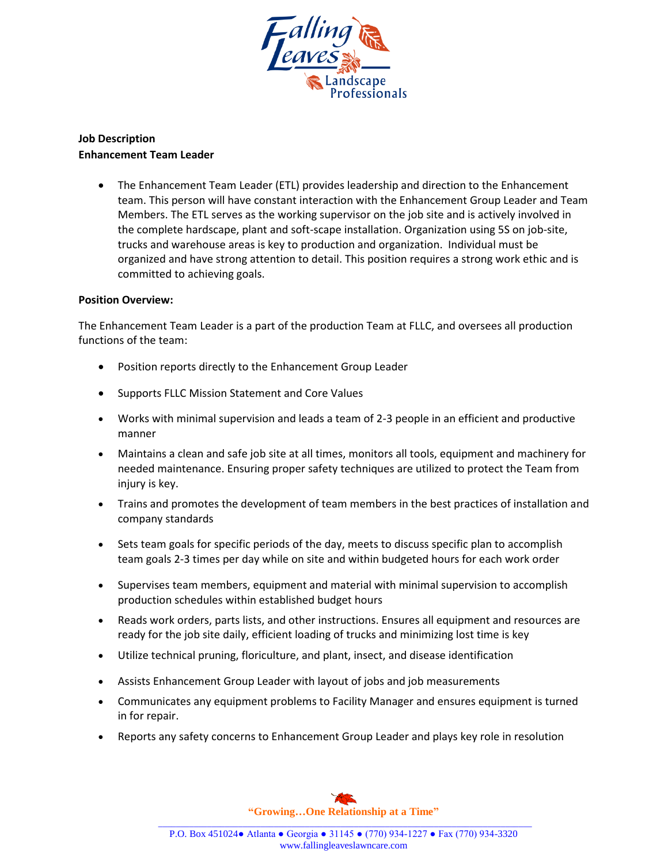

## **Job Description Enhancement Team Leader**

 The Enhancement Team Leader (ETL) provides leadership and direction to the Enhancement team. This person will have constant interaction with the Enhancement Group Leader and Team Members. The ETL serves as the working supervisor on the job site and is actively involved in the complete hardscape, plant and soft-scape installation. Organization using 5S on job-site, trucks and warehouse areas is key to production and organization. Individual must be organized and have strong attention to detail. This position requires a strong work ethic and is committed to achieving goals.

## **Position Overview:**

The Enhancement Team Leader is a part of the production Team at FLLC, and oversees all production functions of the team:

- Position reports directly to the Enhancement Group Leader
- Supports FLLC Mission Statement and Core Values
- Works with minimal supervision and leads a team of 2-3 people in an efficient and productive manner
- Maintains a clean and safe job site at all times, monitors all tools, equipment and machinery for needed maintenance. Ensuring proper safety techniques are utilized to protect the Team from injury is key.
- Trains and promotes the development of team members in the best practices of installation and company standards
- Sets team goals for specific periods of the day, meets to discuss specific plan to accomplish team goals 2-3 times per day while on site and within budgeted hours for each work order
- Supervises team members, equipment and material with minimal supervision to accomplish production schedules within established budget hours
- Reads work orders, parts lists, and other instructions. Ensures all equipment and resources are ready for the job site daily, efficient loading of trucks and minimizing lost time is key
- Utilize technical pruning, floriculture, and plant, insect, and disease identification
- Assists Enhancement Group Leader with layout of jobs and job measurements
- Communicates any equipment problems to Facility Manager and ensures equipment is turned in for repair.
- Reports any safety concerns to Enhancement Group Leader and plays key role in resolution